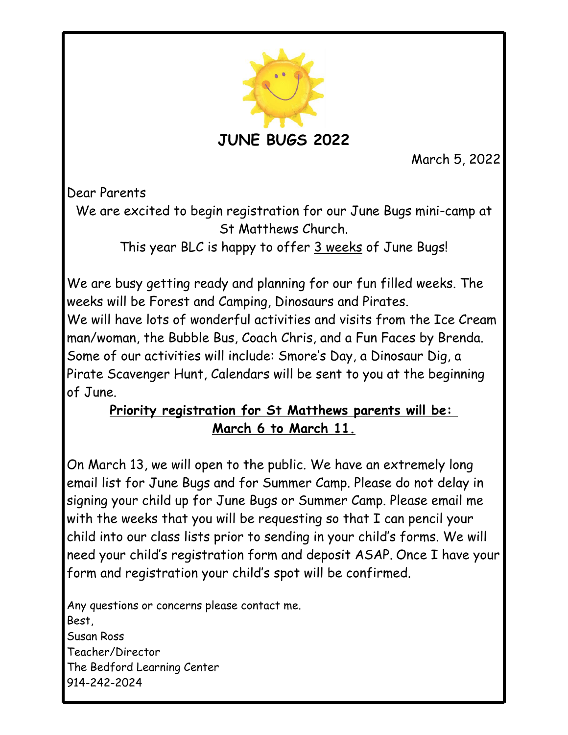

March 5, 2022

Dear Parents

We are excited to begin registration for our June Bugs mini-camp at St Matthews Church.

This year BLC is happy to offer 3 weeks of June Bugs!

We are busy getting ready and planning for our fun filled weeks. The weeks will be Forest and Camping, Dinosaurs and Pirates. We will have lots of wonderful activities and visits from the Ice Cream man/woman, the Bubble Bus, Coach Chris, and a Fun Faces by Brenda. Some of our activities will include: Smore's Day, a Dinosaur Dig, a Pirate Scavenger Hunt, Calendars will be sent to you at the beginning of June.

## **Priority registration for St Matthews parents will be: March 6 to March 11.**

On March 13, we will open to the public. We have an extremely long email list for June Bugs and for Summer Camp. Please do not delay in signing your child up for June Bugs or Summer Camp. Please email me with the weeks that you will be requesting so that I can pencil your child into our class lists prior to sending in your child's forms. We will need your child's registration form and deposit ASAP. Once I have your form and registration your child's spot will be confirmed.

Any questions or concerns please contact me. Best, Susan Ross Teacher/Director The Bedford Learning Center 914-242-2024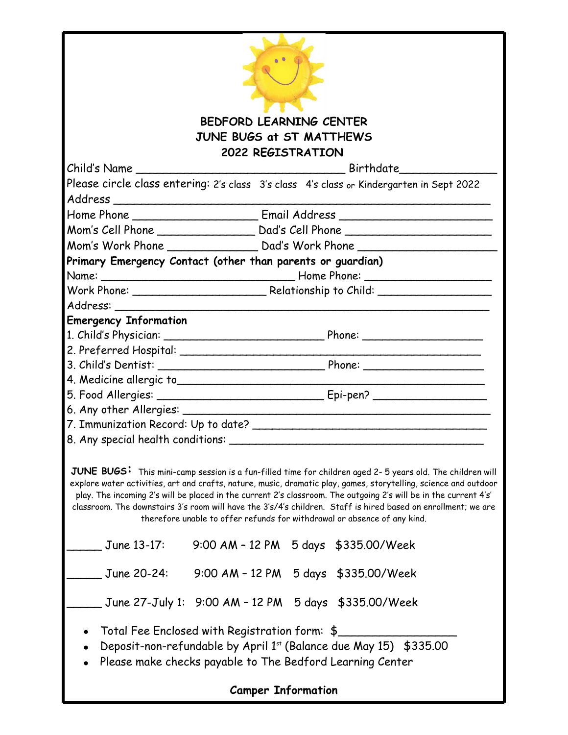|                                                            | <b>BEDFORD LEARNING CENTER</b>                                                                             |  |                                                                                                                                                                                                                                                                                                                                                                                                                                                                    |  |
|------------------------------------------------------------|------------------------------------------------------------------------------------------------------------|--|--------------------------------------------------------------------------------------------------------------------------------------------------------------------------------------------------------------------------------------------------------------------------------------------------------------------------------------------------------------------------------------------------------------------------------------------------------------------|--|
|                                                            | <b>JUNE BUGS at ST MATTHEWS</b>                                                                            |  |                                                                                                                                                                                                                                                                                                                                                                                                                                                                    |  |
|                                                            | 2022 REGISTRATION                                                                                          |  |                                                                                                                                                                                                                                                                                                                                                                                                                                                                    |  |
|                                                            |                                                                                                            |  |                                                                                                                                                                                                                                                                                                                                                                                                                                                                    |  |
|                                                            |                                                                                                            |  | Please circle class entering: 2's class 3's class 4's class or Kindergarten in Sept 2022                                                                                                                                                                                                                                                                                                                                                                           |  |
|                                                            |                                                                                                            |  |                                                                                                                                                                                                                                                                                                                                                                                                                                                                    |  |
|                                                            |                                                                                                            |  |                                                                                                                                                                                                                                                                                                                                                                                                                                                                    |  |
|                                                            |                                                                                                            |  |                                                                                                                                                                                                                                                                                                                                                                                                                                                                    |  |
|                                                            |                                                                                                            |  |                                                                                                                                                                                                                                                                                                                                                                                                                                                                    |  |
| Primary Emergency Contact (other than parents or guardian) |                                                                                                            |  |                                                                                                                                                                                                                                                                                                                                                                                                                                                                    |  |
|                                                            |                                                                                                            |  |                                                                                                                                                                                                                                                                                                                                                                                                                                                                    |  |
|                                                            |                                                                                                            |  |                                                                                                                                                                                                                                                                                                                                                                                                                                                                    |  |
|                                                            |                                                                                                            |  |                                                                                                                                                                                                                                                                                                                                                                                                                                                                    |  |
| <b>Emergency Information</b>                               |                                                                                                            |  |                                                                                                                                                                                                                                                                                                                                                                                                                                                                    |  |
|                                                            |                                                                                                            |  |                                                                                                                                                                                                                                                                                                                                                                                                                                                                    |  |
|                                                            |                                                                                                            |  | 2. Preferred Hospital: 2. Preferred Hospital:                                                                                                                                                                                                                                                                                                                                                                                                                      |  |
|                                                            |                                                                                                            |  |                                                                                                                                                                                                                                                                                                                                                                                                                                                                    |  |
|                                                            |                                                                                                            |  |                                                                                                                                                                                                                                                                                                                                                                                                                                                                    |  |
|                                                            |                                                                                                            |  |                                                                                                                                                                                                                                                                                                                                                                                                                                                                    |  |
|                                                            |                                                                                                            |  |                                                                                                                                                                                                                                                                                                                                                                                                                                                                    |  |
|                                                            |                                                                                                            |  |                                                                                                                                                                                                                                                                                                                                                                                                                                                                    |  |
| 8. Any special health conditions:                          |                                                                                                            |  |                                                                                                                                                                                                                                                                                                                                                                                                                                                                    |  |
|                                                            | therefore unable to offer refunds for withdrawal or absence of any kind.                                   |  | JUNE BUGS: This mini-camp session is a fun-filled time for children aged 2-5 years old. The children will<br>explore water activities, art and crafts, nature, music, dramatic play, games, storytelling, science and outdoor<br>play. The incoming 2's will be placed in the current 2's classroom. The outgoing 2's will be in the current 4's'<br>classroom. The downstairs 3's room will have the 3's/4's children. Staff is hired based on enrollment; we are |  |
| June 13-17:                                                | 9:00 AM - 12 PM 5 days \$335.00/Week                                                                       |  |                                                                                                                                                                                                                                                                                                                                                                                                                                                                    |  |
| June 20-24:                                                | 9:00 AM - 12 PM 5 days \$335.00/Week                                                                       |  |                                                                                                                                                                                                                                                                                                                                                                                                                                                                    |  |
|                                                            | June 27-July 1: 9:00 AM - 12 PM 5 days \$335.00/Week                                                       |  |                                                                                                                                                                                                                                                                                                                                                                                                                                                                    |  |
|                                                            | Total Fee Enclosed with Registration form: \$<br>Please make checks payable to The Bedford Learning Center |  | Deposit-non-refundable by April 1st (Balance due May 15) \$335.00                                                                                                                                                                                                                                                                                                                                                                                                  |  |
|                                                            | <b>Camper Information</b>                                                                                  |  |                                                                                                                                                                                                                                                                                                                                                                                                                                                                    |  |